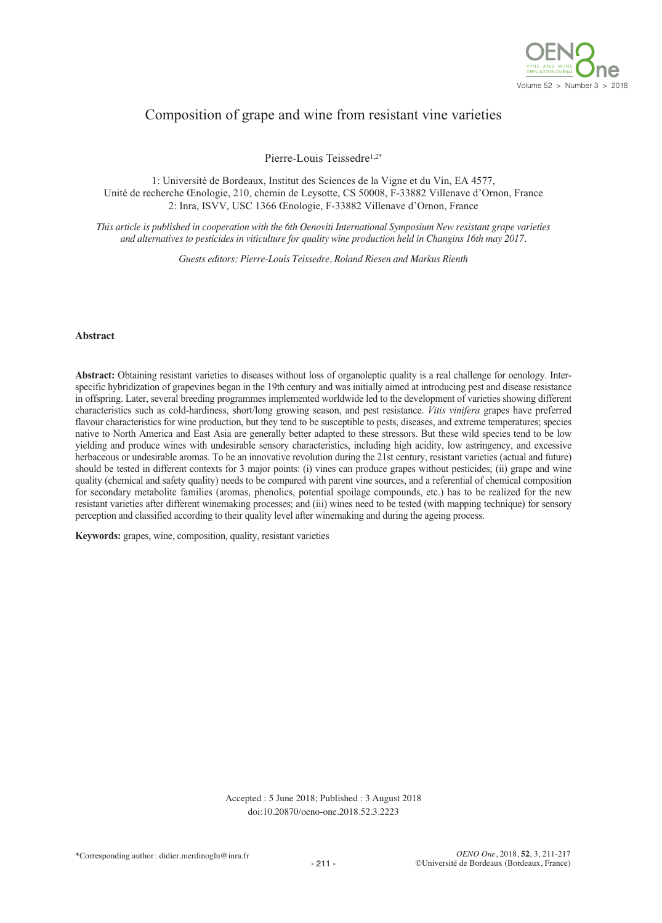

# Composition of grape and wine from resistant vine varieties

Pierre-Louis Teissedre1,2\*

1: Université de Bordeaux, Institut des Sciences de la Vigne et du Vin, EA 4577, Unité de recherche Œnologie, 210, chemin de Leysotte, CS 50008, F-33882 Villenave d'Ornon, France 2: Inra, ISVV, USC 1366 Œnologie, F-33882 Villenave d'Ornon, France

This article is published in cooperation with the 6th Oenoviti International Symposium New resistant grape varieties *and alternatives to pesticides in viticulture for quality wine production held in Changins 16th may 2017.*

*Guests editors: Pierre-Louis Teissedre, Roland Riesen and Markus Rienth*

#### **Abstract**

**Abstract:** Obtaining resistant varieties to diseases without loss of organoleptic quality is a real challenge for oenology. Interspecific hybridization of grapevines began in the 19th century and was initially aimed at introducing pest and disease resistance in offspring. Later, several breeding programmes implemented worldwide led to the development of varieties showing different characteristics such as cold-hardiness, short/long growing season, and pest resistance. *Vitis vinifera* grapes have preferred flavour characteristics for wine production, but they tend to be susceptible to pests, diseases, and extreme temperatures; species native to North America and East Asia are generally better adapted to these stressors. But these wild species tend to be low yielding and produce wines with undesirable sensory characteristics, including high acidity, low astringency, and excessive herbaceous or undesirable aromas. To be an innovative revolution during the 21st century, resistant varieties (actual and future) should be tested in different contexts for 3 major points: (i) vines can produce grapes without pesticides; (ii) grape and wine quality (chemical and safety quality) needs to be compared with parent vine sources, and a referential of chemical composition for secondary metabolite families (aromas, phenolics, potential spoilage compounds, etc.) has to be realized for the new resistant varieties after different winemaking processes; and (iii) wines need to be tested (with mapping technique) for sensory perception and classified according to their quality level after winemaking and during the ageing process.

**Keywords:** grapes, wine, composition, quality, resistant varieties

Accepted : 5 June 2018; Published : 3 August 2018 doi:10.20870/oeno-one.2018.52.3.2223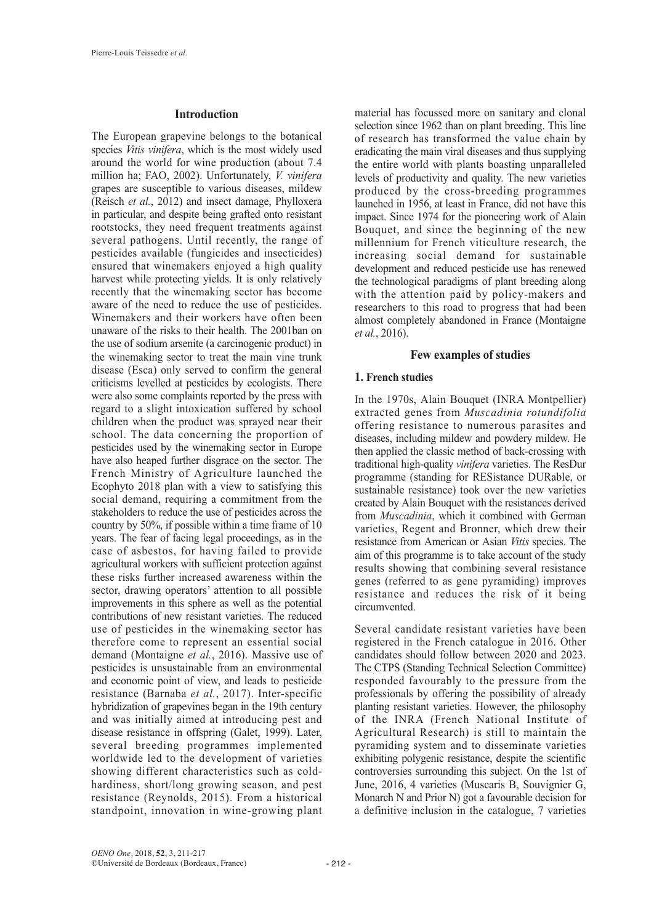### **Introduction**

The European grapevine belongs to the botanical species *Vitis vinifera*, which is the most widely used around the world for wine production (about 7.4 million ha; FAO, 2002). Unfortunately, *V. vinifera* grapes are susceptible to various diseases, mildew (Reisch *et al.*, 2012) and insect damage, Phylloxera in particular, and despite being grafted onto resistant rootstocks, they need frequent treatments against several pathogens. Until recently, the range of pesticides available (fungicides and insecticides) ensured that winemakers enjoyed a high quality harvest while protecting yields. It is only relatively recently that the winemaking sector has become aware of the need to reduce the use of pesticides. Winemakers and their workers have often been unaware of the risks to their health. The 2001ban on the use of sodium arsenite (a carcinogenic product) in the winemaking sector to treat the main vine trunk disease (Esca) only served to confirm the general criticisms levelled at pesticides by ecologists. There were also some complaints reported by the press with regard to a slight intoxication suffered by school children when the product was sprayed near their school. The data concerning the proportion of pesticides used by the winemaking sector in Europe have also heaped further disgrace on the sector. The French Ministry of Agriculture launched the Ecophyto 2018 plan with a view to satisfying this social demand, requiring a commitment from the stakeholders to reduce the use of pesticides across the country by 50%, if possible within a time frame of 10 years. The fear of facing legal proceedings, as in the case of asbestos, for having failed to provide agricultural workers with sufficient protection against these risks further increased awareness within the sector, drawing operators' attention to all possible improvements in this sphere as well as the potential contributions of new resistant varieties. The reduced use of pesticides in the winemaking sector has therefore come to represent an essential social demand (Montaigne *et al.*, 2016). Massive use of pesticides is unsustainable from an environmental and economic point of view, and leads to pesticide resistance (Barnaba *et al.*, 2017). Inter-specific hybridization of grapevines began in the 19th century and was initially aimed at introducing pest and disease resistance in offspring (Galet, 1999). Later, several breeding programmes implemented worldwide led to the development of varieties showing different characteristics such as coldhardiness, short/long growing season, and pest resistance (Reynolds, 2015). From a historical standpoint, innovation in wine-growing plant

material has focussed more on sanitary and clonal selection since 1962 than on plant breeding. This line of research has transformed the value chain by eradicating the main viral diseases and thus supplying the entire world with plants boasting unparalleled levels of productivity and quality. The new varieties produced by the cross-breeding programmes launched in 1956, at least in France, did not have this impact. Since 1974 for the pioneering work of Alain Bouquet, and since the beginning of the new millennium for French viticulture research, the increasing social demand for sustainable development and reduced pesticide use has renewed the technological paradigms of plant breeding along with the attention paid by policy-makers and researchers to this road to progress that had been almost completely abandoned in France (Montaigne *et al.*, 2016).

#### **Few examples of studies**

### **1. French studies**

In the 1970s, Alain Bouquet (INRA Montpellier) extracted genes from *Muscadinia rotundifolia* offering resistance to numerous parasites and diseases, including mildew and powdery mildew. He then applied the classic method of back-crossing with traditional high-quality *vinifera* varieties. The ResDur programme (standing for RESistance DURable, or sustainable resistance) took over the new varieties created by Alain Bouquet with the resistances derived from *Muscadinia*, which it combined with German varieties, Regent and Bronner, which drew their resistance from American or Asian *Vitis* species. The aim of this programme is to take account of the study results showing that combining several resistance genes (referred to as gene pyramiding) improves resistance and reduces the risk of it being circumvented.

Several candidate resistant varieties have been registered in the French catalogue in 2016. Other candidates should follow between 2020 and 2023. The CTPS (Standing Technical Selection Committee) responded favourably to the pressure from the professionals by offering the possibility of already planting resistant varieties. However, the philosophy of the INRA (French National Institute of Agricultural Research) is still to maintain the pyramiding system and to disseminate varieties exhibiting polygenic resistance, despite the scientific controversies surrounding this subject. On the 1st of June, 2016, 4 varieties (Muscaris B, Souvignier G, Monarch N and Prior N) got a favourable decision for a definitive inclusion in the catalogue, 7 varieties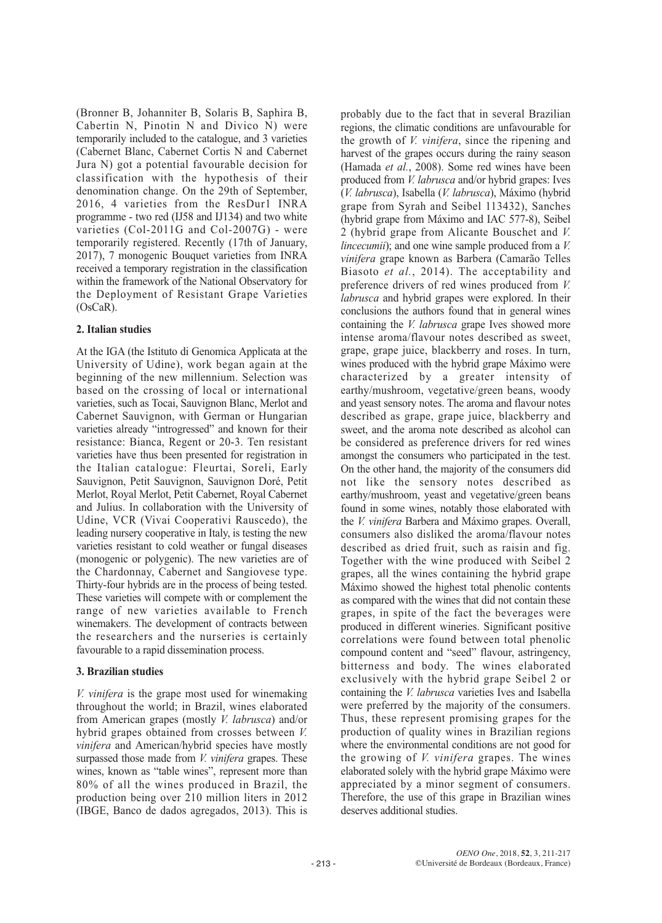(Bronner B, Johanniter B, Solaris B, Saphira B, Cabertin N, Pinotin N and Divico N) were temporarily included to the catalogue, and 3 varieties (Cabernet Blanc, Cabernet Cortis N and Cabernet Jura N) got a potential favourable decision for classification with the hypothesis of their denomination change. On the 29th of September, 2016, 4 varieties from the ResDur1 INRA programme - two red (IJ58 and IJ134) and two white varieties (Col-2011G and Col-2007G) - were temporarily registered. Recently (17th of January, 2017), 7 monogenic Bouquet varieties from INRA received a temporary registration in the classification within the framework of the National Observatory for the Deployment of Resistant Grape Varieties (OsCaR).

## **2. Italian studies**

At the IGA (the Istituto di Genomica Applicata at the University of Udine), work began again at the beginning of the new millennium. Selection was based on the crossing of local or international varieties, such as Tocai, Sauvignon Blanc, Merlot and Cabernet Sauvignon, with German or Hungarian varieties already "introgressed" and known for their resistance: Bianca, Regent or 20-3. Ten resistant varieties have thus been presented for registration in the Italian catalogue: Fleurtai, Soreli, Early Sauvignon, Petit Sauvignon, Sauvignon Doré, Petit Merlot, Royal Merlot, Petit Cabernet, Royal Cabernet and Julius. In collaboration with the University of Udine, VCR (Vivai Cooperativi Rauscedo), the leading nursery cooperative in Italy, is testing the new varieties resistant to cold weather or fungal diseases (monogenic or polygenic). The new varieties are of the Chardonnay, Cabernet and Sangiovese type. Thirty-four hybrids are in the process of being tested. These varieties will compete with or complement the range of new varieties available to French winemakers. The development of contracts between the researchers and the nurseries is certainly favourable to a rapid dissemination process.

## **3. Brazilian studies**

*V. vinifera* is the grape most used for winemaking throughout the world; in Brazil, wines elaborated from American grapes (mostly *V. labrusca*) and/or hybrid grapes obtained from crosses between *V. vinifera* and American/hybrid species have mostly surpassed those made from *V. vinifera* grapes. These wines, known as "table wines", represent more than 80% of all the wines produced in Brazil, the production being over 210 million liters in 2012 (IBGE, Banco de dados agregados, 2013). This is

probably due to the fact that in several Brazilian regions, the climatic conditions are unfavourable for the growth of *V. vinifera*, since the ripening and harvest of the grapes occurs during the rainy season (Hamada *et al.*, 2008). Some red wines have been produced from *V. labrusca* and/or hybrid grapes: Ives (*V. labrusca*), Isabella (*V. labrusca*), Máximo (hybrid grape from Syrah and Seibel 113432), Sanches (hybrid grape from Máximo and IAC 577-8), Seibel 2 (hybrid grape from Alicante Bouschet and *V. lincecumii*); and one wine sample produced from a *V. vinifera* grape known as Barbera (Camarão Telles Biasoto *et al.*, 2014). The acceptability and preference drivers of red wines produced from *V. labrusca* and hybrid grapes were explored. In their conclusions the authors found that in general wines containing the *V. labrusca* grape Ives showed more intense aroma/flavour notes described as sweet, grape, grape juice, blackberry and roses. In turn, wines produced with the hybrid grape Máximo were characterized by a greater intensity of earthy/mushroom, vegetative/green beans, woody and yeast sensory notes. The aroma and flavour notes described as grape, grape juice, blackberry and sweet, and the aroma note described as alcohol can be considered as preference drivers for red wines amongst the consumers who participated in the test. On the other hand, the majority of the consumers did not like the sensory notes described as earthy/mushroom, yeast and vegetative/green beans found in some wines, notably those elaborated with the *V. vinifera* Barbera and Máximo grapes. Overall, consumers also disliked the aroma/flavour notes described as dried fruit, such as raisin and fig. Together with the wine produced with Seibel 2 grapes, all the wines containing the hybrid grape Máximo showed the highest total phenolic contents as compared with the wines that did not contain these grapes, in spite of the fact the beverages were produced in different wineries. Significant positive correlations were found between total phenolic compound content and "seed" flavour, astringency, bitterness and body. The wines elaborated exclusively with the hybrid grape Seibel 2 or containing the *V. labrusca* varieties Ives and Isabella were preferred by the majority of the consumers. Thus, these represent promising grapes for the production of quality wines in Brazilian regions where the environmental conditions are not good for the growing of *V. vinifera* grapes. The wines elaborated solely with the hybrid grape Máximo were appreciated by a minor segment of consumers. Therefore, the use of this grape in Brazilian wines deserves additional studies.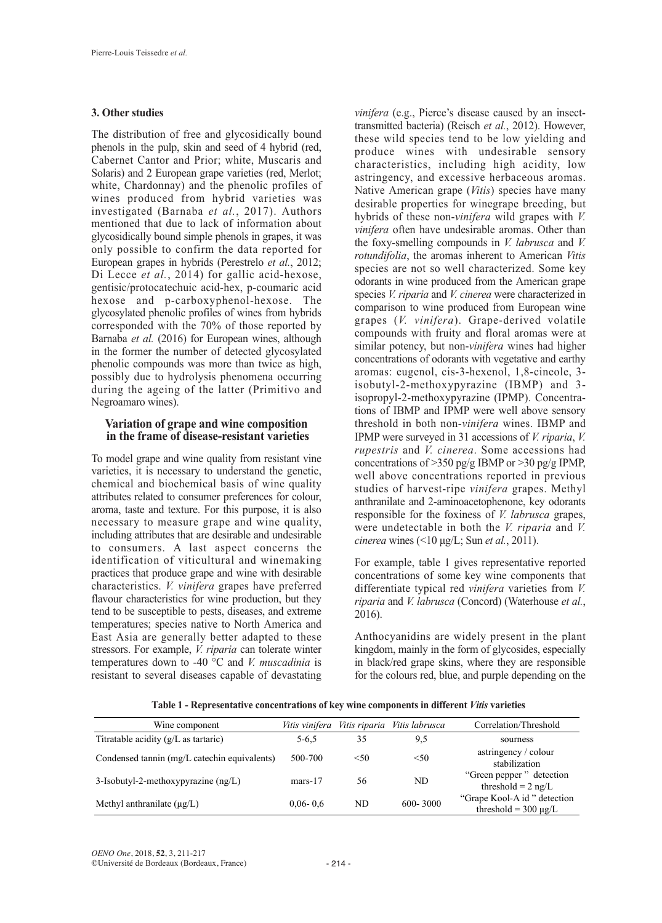### **3. Other studies**

The distribution of free and glycosidically bound phenols in the pulp, skin and seed of 4 hybrid (red, Cabernet Cantor and Prior; white, Muscaris and Solaris) and 2 European grape varieties (red, Merlot; white, Chardonnay) and the phenolic profiles of wines produced from hybrid varieties was investigated (Barnaba *et al.*, 2017). Authors mentioned that due to lack of information about glycosidically bound simple phenols in grapes, it was only possible to confirm the data reported for European grapes in hybrids (Perestrelo *et al.*, 2012; Di Lecce *et al.*, 2014) for gallic acid-hexose, gentisic/protocatechuic acid-hex, p-coumaric acid hexose and p-carboxyphenol-hexose. The glycosylated phenolic profiles of wines from hybrids corresponded with the 70% of those reported by Barnaba *et al.* (2016) for European wines, although in the former the number of detected glycosylated phenolic compounds was more than twice as high, possibly due to hydrolysis phenomena occurring during the ageing of the latter (Primitivo and Negroamaro wines).

#### **Variation of grape and wine composition in the frame of disease-resistant varieties**

To model grape and wine quality from resistant vine varieties, it is necessary to understand the genetic, chemical and biochemical basis of wine quality attributes related to consumer preferences for colour, aroma, taste and texture. For this purpose, it is also necessary to measure grape and wine quality, including attributes that are desirable and undesirable to consumers. A last aspect concerns the identification of viticultural and winemaking practices that produce grape and wine with desirable characteristics. *V. vinifera* grapes have preferred flavour characteristics for wine production, but they tend to be susceptible to pests, diseases, and extreme temperatures; species native to North America and East Asia are generally better adapted to these stressors. For example, *V. riparia* can tolerate winter temperatures down to -40 °C and *V. muscadinia* is resistant to several diseases capable of devastating

*vinifera* (e.g., Pierce's disease caused by an insecttransmitted bacteria) (Reisch *et al.*, 2012). However, these wild species tend to be low yielding and produce wines with undesirable sensory characteristics, including high acidity, low astringency, and excessive herbaceous aromas. Native American grape (*Vitis*) species have many desirable properties for winegrape breeding, but hybrids of these non-*vinifera* wild grapes with *V. vinifera* often have undesirable aromas. Other than the foxy-smelling compounds in *V. labrusca* and *V. rotundifolia*, the aromas inherent to American *Vitis* species are not so well characterized. Some key odorants in wine produced from the American grape species *V. riparia* and *V. cinerea* were characterized in comparison to wine produced from European wine grapes (*V. vinifera*). Grape-derived volatile compounds with fruity and floral aromas were at similar potency, but non-*vinifera* wines had higher concentrations of odorants with vegetative and earthy aromas: eugenol, cis-3-hexenol, 1,8-cineole, 3 isobutyl-2-methoxypyrazine (IBMP) and 3 isopropyl-2-methoxypyrazine (IPMP). Concentrations of IBMP and IPMP were well above sensory threshold in both non-*vinifera* wines. IBMP and IPMP were surveyed in 31 accessions of *V. riparia*, *V. rupestris* and *V. cinerea*. Some accessions had concentrations of >350 pg/g IBMP or >30 pg/g IPMP, well above concentrations reported in previous studies of harvest-ripe *vinifera* grapes. Methyl anthranilate and 2-aminoacetophenone, key odorants responsible for the foxiness of *V. labrusca* grapes, were undetectable in both the *V. riparia* and *V. cinerea* wines (<10 μg/L; Sun *et al.*, 2011).

For example, table 1 gives representative reported concentrations of some key wine components that differentiate typical red *vinifera* varieties from *V. riparia* and *V. labrusca* (Concord) (Waterhouse *et al.*, 2016).

Anthocyanidins are widely present in the plant kingdom, mainly in the form of glycosides, especially in black/red grape skins, where they are responsible for the colours red, blue, and purple depending on the

| Wine component                                    | Vitis vinifera |      | Vitis riparia Vitis labrusca | Correlation/Threshold                                      |
|---------------------------------------------------|----------------|------|------------------------------|------------------------------------------------------------|
| Titratable acidity $(g/L \text{ as } \text{tart}$ | $5 - 6.5$      | 35   | 9,5                          | sourness                                                   |
| Condensed tannin (mg/L catechin equivalents)      | 500-700        | < 50 | < 50                         | astringency / colour<br>stabilization                      |
| 3-Isobutyl-2-methoxypyrazine (ng/L)               | $mars-17$      | 56   | ND                           | "Green pepper" detection<br>threshold = $2$ ng/L           |
| Methyl anthranilate $(\mu g/L)$                   | $0.06 - 0.6$   | ND   | $600 - 3000$                 | "Grape Kool-A id " detection"<br>threshold = $300 \mu g/L$ |

**Table 1 - Representative concentrations of key wine components in different** *Vitis* **varieties**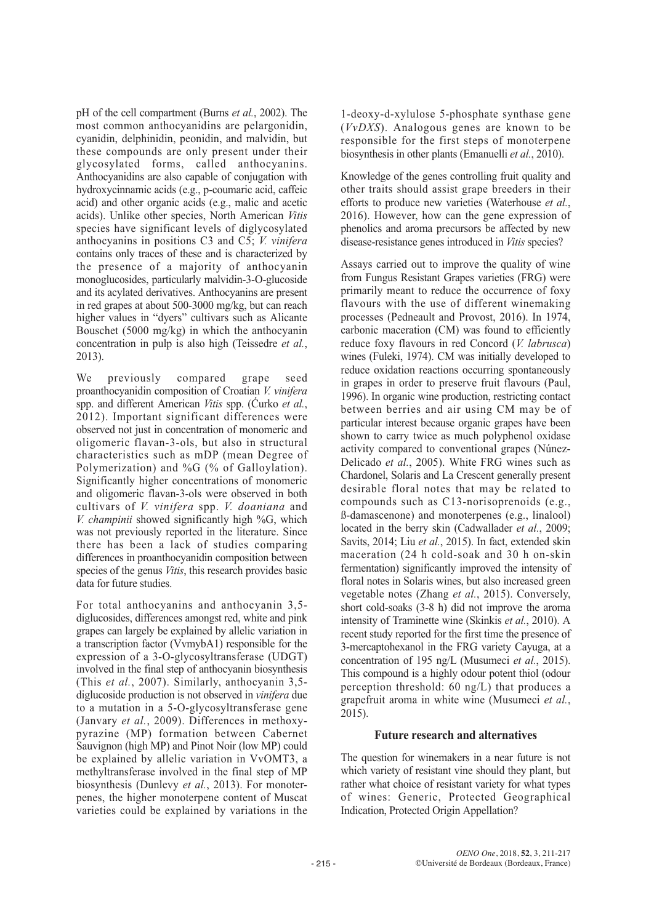pH of the cell compartment (Burns *et al.*, 2002). The most common anthocyanidins are pelargonidin, cyanidin, delphinidin, peonidin, and malvidin, but these compounds are only present under their glycosylated forms, called anthocyanins. Anthocyanidins are also capable of conjugation with hydroxycinnamic acids (e.g., p-coumaric acid, caffeic acid) and other organic acids (e.g., malic and acetic acids). Unlike other species, North American *Vitis* species have significant levels of diglycosylated anthocyanins in positions C3 and C5; *V. vinifera* contains only traces of these and is characterized by the presence of a majority of anthocyanin monoglucosides, particularly malvidin-3-O-glucoside and its acylated derivatives. Anthocyanins are present in red grapes at about 500-3000 mg/kg, but can reach higher values in "dyers" cultivars such as Alicante Bouschet (5000 mg/kg) in which the anthocyanin concentration in pulp is also high (Teissedre *et al.*, 2013).

We previously compared grape seed proanthocyanidin composition of Croatian *V. vinifera* spp. and different American *Vitis* spp. (Ćurko *et al.*, 2012). Important significant differences were observed not just in concentration of monomeric and oligomeric flavan-3-ols, but also in structural characteristics such as mDP (mean Degree of Polymerization) and %G (% of Galloylation). Significantly higher concentrations of monomeric and oligomeric flavan-3-ols were observed in both cultivars of *V. vinifera* spp. *V. doaniana* and *V. champinii* showed significantly high %G, which was not previously reported in the literature. Since there has been a lack of studies comparing differences in proanthocyanidin composition between species of the genus *Vitis*, this research provides basic data for future studies.

For total anthocyanins and anthocyanin 3,5 diglucosides, differences amongst red, white and pink grapes can largely be explained by allelic variation in a transcription factor (VvmybA1) responsible for the expression of a 3-O-glycosyltransferase (UDGT) involved in the final step of anthocyanin biosynthesis (This *et al.*, 2007). Similarly, anthocyanin 3,5 diglucoside production is not observed in *vinifera* due to a mutation in a 5-O-glycosyltransferase gene (Janvary *et al.*, 2009). Differences in methoxypyrazine (MP) formation between Cabernet Sauvignon (high MP) and Pinot Noir (low MP) could be explained by allelic variation in VvOMT3, a methyltransferase involved in the final step of MP biosynthesis (Dunlevy *et al.*, 2013). For monoterpenes, the higher monoterpene content of Muscat varieties could be explained by variations in the

1-deoxy-d-xylulose 5-phosphate synthase gene (*VvDXS*). Analogous genes are known to be responsible for the first steps of monoterpene biosynthesis in other plants (Emanuelli *et al.*, 2010).

Knowledge of the genes controlling fruit quality and other traits should assist grape breeders in their efforts to produce new varieties (Waterhouse *et al.*, 2016). However, how can the gene expression of phenolics and aroma precursors be affected by new disease-resistance genes introduced in *Vitis* species?

Assays carried out to improve the quality of wine from Fungus Resistant Grapes varieties (FRG) were primarily meant to reduce the occurrence of foxy flavours with the use of different winemaking processes (Pedneault and Provost, 2016). In 1974, carbonic maceration (CM) was found to efficiently reduce foxy flavours in red Concord (*V. labrusca*) wines (Fuleki, 1974). CM was initially developed to reduce oxidation reactions occurring spontaneously in grapes in order to preserve fruit flavours (Paul, 1996). In organic wine production, restricting contact between berries and air using CM may be of particular interest because organic grapes have been shown to carry twice as much polyphenol oxidase activity compared to conventional grapes (Núnez-Delicado *et al.*, 2005). White FRG wines such as Chardonel, Solaris and La Crescent generally present desirable floral notes that may be related to compounds such as C13-norisoprenoids (e.g., ß-damascenone) and monoterpenes (e.g., linalool) located in the berry skin (Cadwallader *et al.*, 2009; Savits, 2014; Liu *et al.*, 2015). In fact, extended skin maceration (24 h cold-soak and 30 h on-skin fermentation) significantly improved the intensity of floral notes in Solaris wines, but also increased green vegetable notes (Zhang *et al.*, 2015). Conversely, short cold-soaks (3-8 h) did not improve the aroma intensity of Traminette wine (Skinkis *et al.*, 2010). A recent study reported for the first time the presence of 3-mercaptohexanol in the FRG variety Cayuga, at a concentration of 195 ng/L (Musumeci *et al.*, 2015). This compound is a highly odour potent thiol (odour perception threshold: 60 ng/L) that produces a grapefruit aroma in white wine (Musumeci *et al.*, 2015).

### **Future research and alternatives**

The question for winemakers in a near future is not which variety of resistant vine should they plant, but rather what choice of resistant variety for what types of wines: Generic, Protected Geographical Indication, Protected Origin Appellation?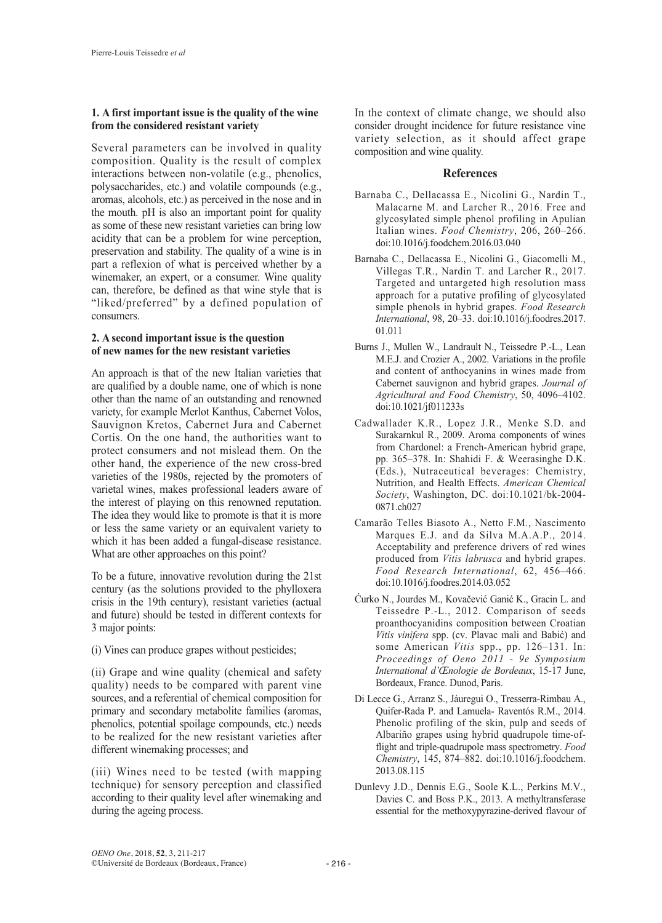## **1. A first important issue is the quality of the wine from the considered resistant variety**

Several parameters can be involved in quality composition. Quality is the result of complex interactions between non-volatile (e.g., phenolics, polysaccharides, etc.) and volatile compounds (e.g., aromas, alcohols, etc.) as perceived in the nose and in the mouth. pH is also an important point for quality as some of these new resistant varieties can bring low acidity that can be a problem for wine perception, preservation and stability. The quality of a wine is in part a reflexion of what is perceived whether by a winemaker, an expert, or a consumer. Wine quality can, therefore, be defined as that wine style that is "liked/preferred" by a defined population of consumers.

## **2. A second important issue is the question of new names for the new resistant varieties**

An approach is that of the new Italian varieties that are qualified by a double name, one of which is none other than the name of an outstanding and renowned variety, for example Merlot Kanthus, Cabernet Volos, Sauvignon Kretos, Cabernet Jura and Cabernet Cortis. On the one hand, the authorities want to protect consumers and not mislead them. On the other hand, the experience of the new cross-bred varieties of the 1980s, rejected by the promoters of varietal wines, makes professional leaders aware of the interest of playing on this renowned reputation. The idea they would like to promote is that it is more or less the same variety or an equivalent variety to which it has been added a fungal-disease resistance. What are other approaches on this point?

To be a future, innovative revolution during the 21st century (as the solutions provided to the phylloxera crisis in the 19th century), resistant varieties (actual and future) should be tested in different contexts for 3 major points:

(i) Vines can produce grapes without pesticides;

(ii) Grape and wine quality (chemical and safety quality) needs to be compared with parent vine sources, and a referential of chemical composition for primary and secondary metabolite families (aromas, phenolics, potential spoilage compounds, etc.) needs to be realized for the new resistant varieties after different winemaking processes; and

(iii) Wines need to be tested (with mapping technique) for sensory perception and classified according to their quality level after winemaking and during the ageing process.

In the context of climate change, we should also consider drought incidence for future resistance vine variety selection, as it should affect grape composition and wine quality.

## **References**

- Barnaba C., Dellacassa E., Nicolini G., Nardin T., Malacarne M. and Larcher R., 2016. Free and glycosylated simple phenol profiling in Apulian Italian wines. *Food Chemistry*, 206, 260–266. doi:10.1016/j.foodchem.2016.03.040
- Barnaba C., Dellacassa E., Nicolini G., Giacomelli M., Villegas T.R., Nardin T. and Larcher R., 2017. Targeted and untargeted high resolution mass approach for a putative profiling of glycosylated simple phenols in hybrid grapes. *Food Research International*, 98, 20–33. doi:10.1016/j.foodres.2017. 01.011
- Burns J., Mullen W., Landrault N., Teissedre P.-L., Lean M.E.J. and Crozier A., 2002. Variations in the profile and content of anthocyanins in wines made from Cabernet sauvignon and hybrid grapes. *Journal of Agricultural and Food Chemistry*, 50, 4096–4102. doi:10.1021/jf011233s
- Cadwallader K.R., Lopez J.R., Menke S.D. and Surakarnkul R., 2009. Aroma components of wines from Chardonel: a French-American hybrid grape, pp. 365–378. In: Shahidi F. & Weerasinghe D.K. (Eds.), Nutraceutical beverages: Chemistry, Nutrition, and Health Effects. *American Chemical Society*, Washington, DC. doi:10.1021/bk-2004- 0871.ch027
- Camarão Telles Biasoto A., Netto F.M., Nascimento Marques E.J. and da Silva M.A.A.P., 2014. Acceptability and preference drivers of red wines produced from *Vitis labrusca* and hybrid grapes. *Food Research International*, 62, 456–466. doi:10.1016/j.foodres.2014.03.052
- Ćurko N., Jourdes M., Kovačević Ganić K., Gracin L. and Teissedre P.-L., 2012. Comparison of seeds proanthocyanidins composition between Croatian *Vitis vinifera* spp. (cv. Plavac mali and Babić) and some American *Vitis* spp., pp. 126–131. In: *Proceedings of Oeno 2011 - 9e Symposium International d'Œnologie de Bordeaux*, 15-17 June, Bordeaux, France. Dunod, Paris.
- Di Lecce G., Arranz S., Jáuregui O., Tresserra-Rimbau A., Quifer-Rada P. and Lamuela- Raventós R.M., 2014. Phenolic profiling of the skin, pulp and seeds of Albariño grapes using hybrid quadrupole time-offlight and triple-quadrupole mass spectrometry. *Food Chemistry*, 145, 874–882. doi:10.1016/j.foodchem. 2013.08.115
- Dunlevy J.D., Dennis E.G., Soole K.L., Perkins M.V., Davies C. and Boss P.K., 2013. A methyltransferase essential for the methoxypyrazine-derived flavour of